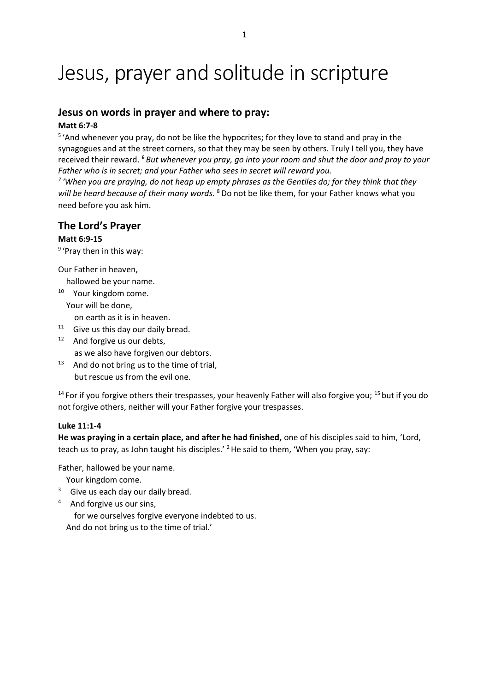# Jesus, prayer and solitude in scripture

# **Jesus on words in prayer and where to pray:**

### **Matt 6:7-8**

<sup>5</sup> 'And whenever you pray, do not be like the hypocrites; for they love to stand and pray in the synagogues and at the street corners, so that they may be seen by others. Truly I tell you, they have received their reward. **<sup>6</sup>** *But whenever you pray, go into your room and shut the door and pray to your Father who is in secret; and your Father who sees in secret will reward you.*

*7 'When you are praying, do not heap up empty phrases as the Gentiles do; for they think that they will be heard because of their many words.* <sup>8</sup> Do not be like them, for your Father knows what you need before you ask him.

# **The Lord's Prayer**

# **Matt 6:9-15**

<sup>9</sup> 'Pray then in this way:

Our Father in heaven,

hallowed be your name.

<sup>10</sup> Your kingdom come. Your will be done,

on earth as it is in heaven.

- $11$  Give us this day our daily bread. <sup>12</sup> And forgive us our debts, as we also have forgiven our debtors.
- $13$  And do not bring us to the time of trial, but rescue us from the evil one.

 $14$  For if you forgive others their trespasses, your heavenly Father will also forgive you;  $15$  but if you do not forgive others, neither will your Father forgive your trespasses.

### **Luke 11:1-4**

**He was praying in a certain place, and after he had finished,** one of his disciples said to him, 'Lord, teach us to pray, as John taught his disciples.<sup>'</sup> <sup>2</sup> He said to them, 'When you pray, say:

Father, hallowed be your name.

- Your kingdom come.
- $3$  Give us each day our daily bread.
- 4 And forgive us our sins,

 for we ourselves forgive everyone indebted to us. And do not bring us to the time of trial.'